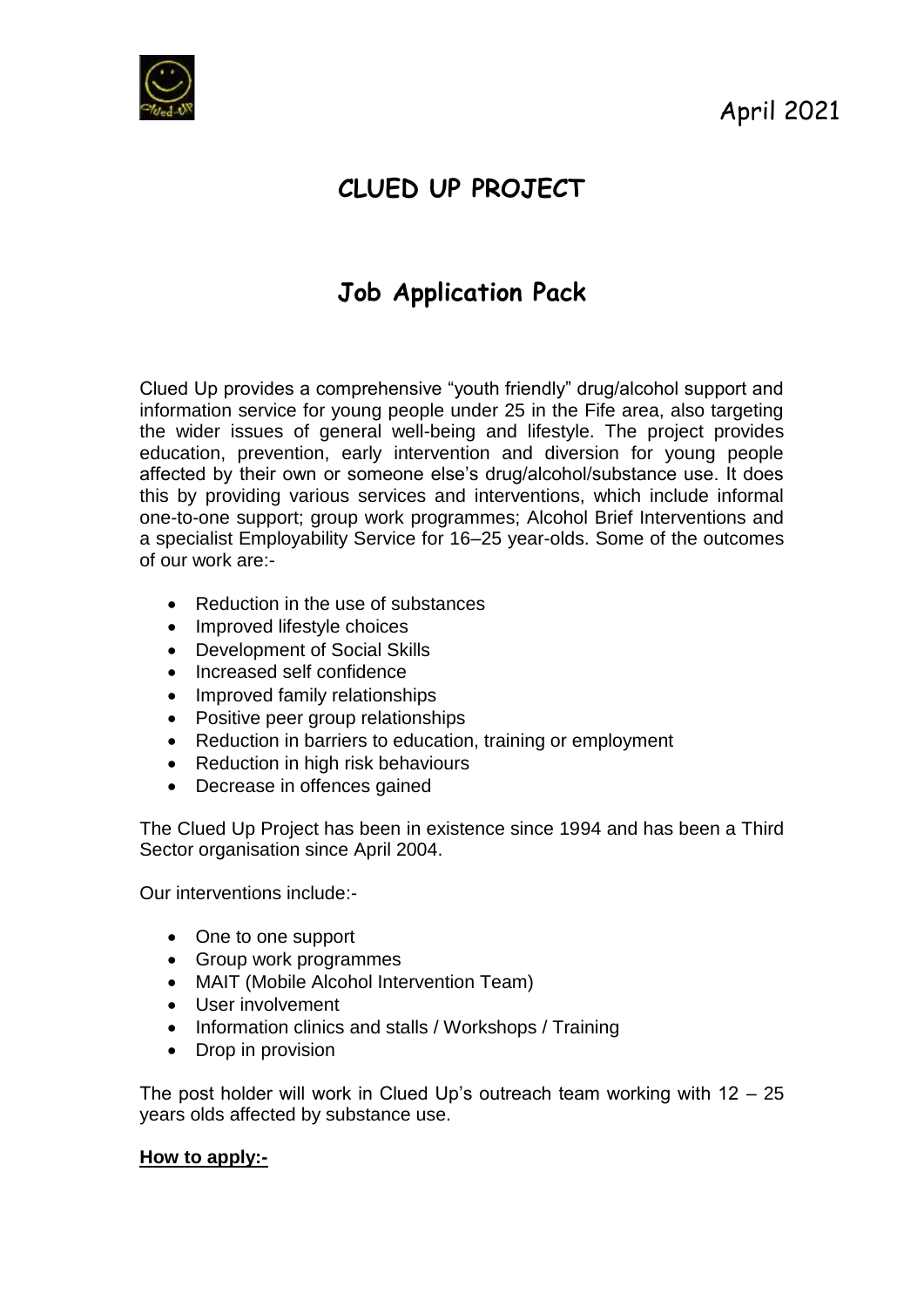

April 2021

# **CLUED UP PROJECT**

# **Job Application Pack**

Clued Up provides a comprehensive "youth friendly" drug/alcohol support and information service for young people under 25 in the Fife area, also targeting the wider issues of general well-being and lifestyle. The project provides education, prevention, early intervention and diversion for young people affected by their own or someone else's drug/alcohol/substance use. It does this by providing various services and interventions, which include informal one-to-one support; group work programmes; Alcohol Brief Interventions and a specialist Employability Service for 16–25 year-olds. Some of the outcomes of our work are:-

- Reduction in the use of substances
- Improved lifestyle choices
- Development of Social Skills
- Increased self confidence
- Improved family relationships
- Positive peer group relationships
- Reduction in barriers to education, training or employment
- Reduction in high risk behaviours
- Decrease in offences gained

The Clued Up Project has been in existence since 1994 and has been a Third Sector organisation since April 2004.

Our interventions include:-

- One to one support
- Group work programmes
- MAIT (Mobile Alcohol Intervention Team)
- User involvement
- Information clinics and stalls / Workshops / Training
- Drop in provision

The post holder will work in Clued Up's outreach team working with  $12 - 25$ years olds affected by substance use.

#### **How to apply:-**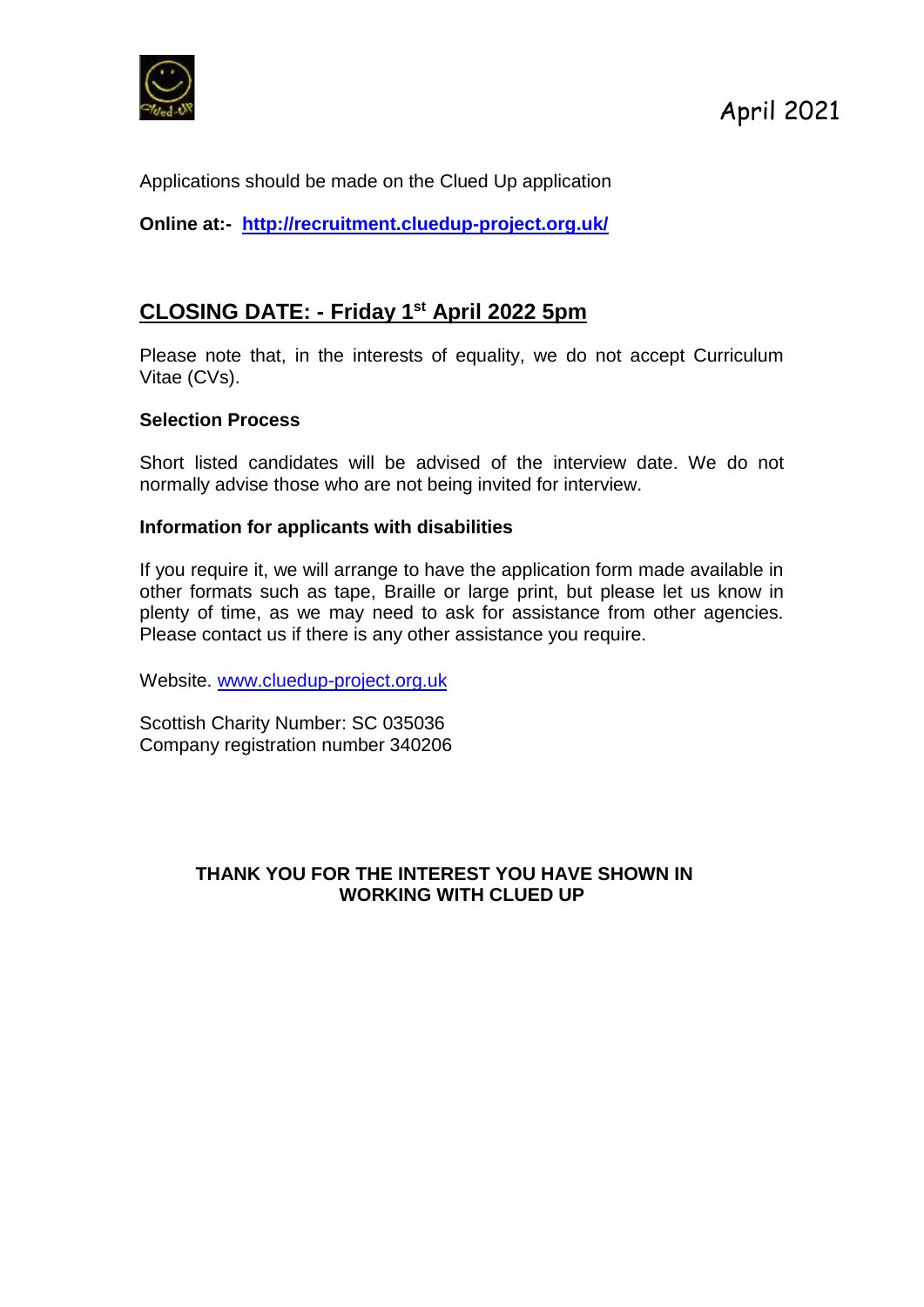

Applications should be made on the Clued Up application

**Online at:- <http://recruitment.cluedup-project.org.uk/>**

# **CLOSING DATE: - Friday 1 st April 2022 5pm**

Please note that, in the interests of equality, we do not accept Curriculum Vitae (CVs).

#### **Selection Process**

Short listed candidates will be advised of the interview date. We do not normally advise those who are not being invited for interview.

#### **Information for applicants with disabilities**

If you require it, we will arrange to have the application form made available in other formats such as tape, Braille or large print, but please let us know in plenty of time, as we may need to ask for assistance from other agencies. Please contact us if there is any other assistance you require.

Website. [www.cluedup-project.org.uk](http://www.cluedup-project.org.uk/)

Scottish Charity Number: SC 035036 Company registration number 340206

### **THANK YOU FOR THE INTEREST YOU HAVE SHOWN IN WORKING WITH CLUED UP**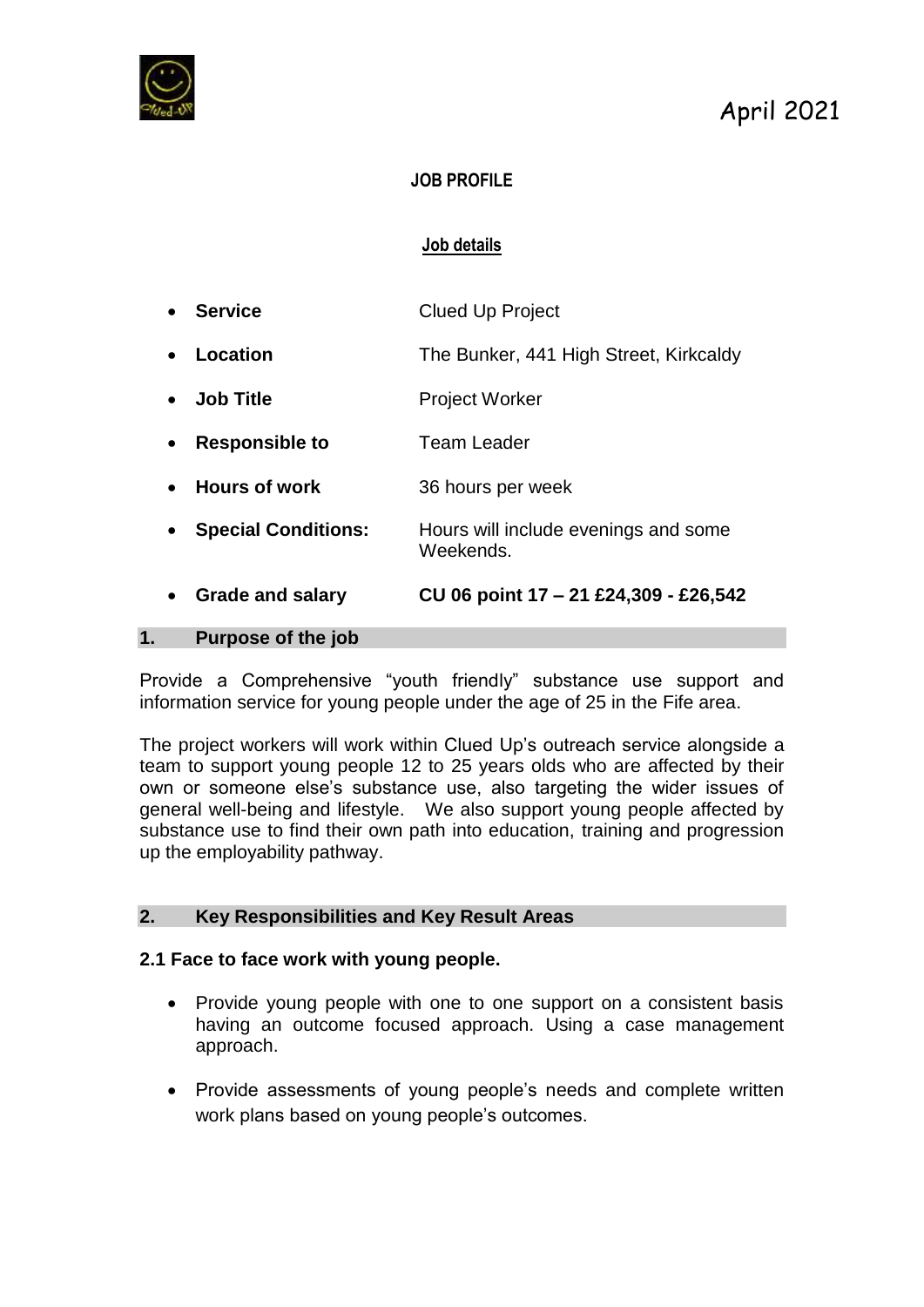

## **JOB PROFILE**

## **Job details**

| Purpose of the job<br>1.                |                                                   |
|-----------------------------------------|---------------------------------------------------|
| <b>Grade and salary</b><br>$\bullet$    | CU 06 point 17 - 21 £24,309 - £26,542             |
| <b>Special Conditions:</b><br>$\bullet$ | Hours will include evenings and some<br>Weekends. |
| <b>Hours of work</b>                    | 36 hours per week                                 |
| <b>Responsible to</b><br>$\bullet$      | Team Leader                                       |
| <b>Job Title</b><br>$\bullet$           | <b>Project Worker</b>                             |
| Location<br>$\bullet$                   | The Bunker, 441 High Street, Kirkcaldy            |
| <b>Service</b>                          | <b>Clued Up Project</b>                           |

Provide a Comprehensive "youth friendly" substance use support and information service for young people under the age of 25 in the Fife area.

The project workers will work within Clued Up's outreach service alongside a team to support young people 12 to 25 years olds who are affected by their own or someone else's substance use, also targeting the wider issues of general well-being and lifestyle. We also support young people affected by substance use to find their own path into education, training and progression up the employability pathway.

#### **2. Key Responsibilities and Key Result Areas**

#### **2.1 Face to face work with young people.**

- Provide young people with one to one support on a consistent basis having an outcome focused approach. Using a case management approach.
- Provide assessments of young people's needs and complete written work plans based on young people's outcomes.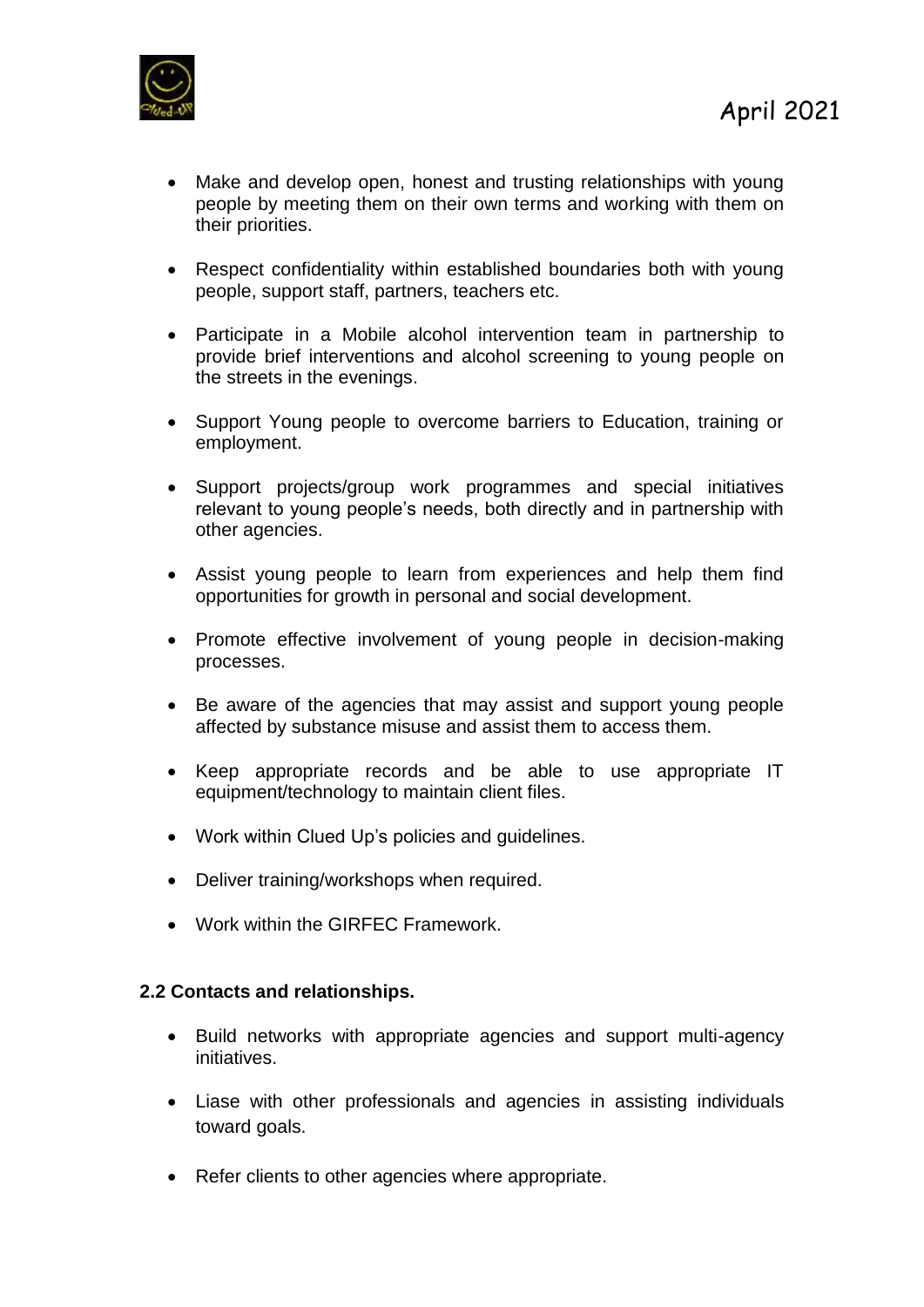

- Make and develop open, honest and trusting relationships with young people by meeting them on their own terms and working with them on their priorities.
- Respect confidentiality within established boundaries both with young people, support staff, partners, teachers etc.
- Participate in a Mobile alcohol intervention team in partnership to provide brief interventions and alcohol screening to young people on the streets in the evenings.
- Support Young people to overcome barriers to Education, training or employment.
- Support projects/group work programmes and special initiatives relevant to young people's needs, both directly and in partnership with other agencies.
- Assist young people to learn from experiences and help them find opportunities for growth in personal and social development.
- Promote effective involvement of voung people in decision-making processes.
- Be aware of the agencies that may assist and support young people affected by substance misuse and assist them to access them.
- Keep appropriate records and be able to use appropriate IT equipment/technology to maintain client files.
- Work within Clued Up's policies and guidelines.
- Deliver training/workshops when required.
- Work within the GIRFEC Framework.

#### **2.2 Contacts and relationships.**

- Build networks with appropriate agencies and support multi-agency initiatives.
- Liase with other professionals and agencies in assisting individuals toward goals.
- Refer clients to other agencies where appropriate.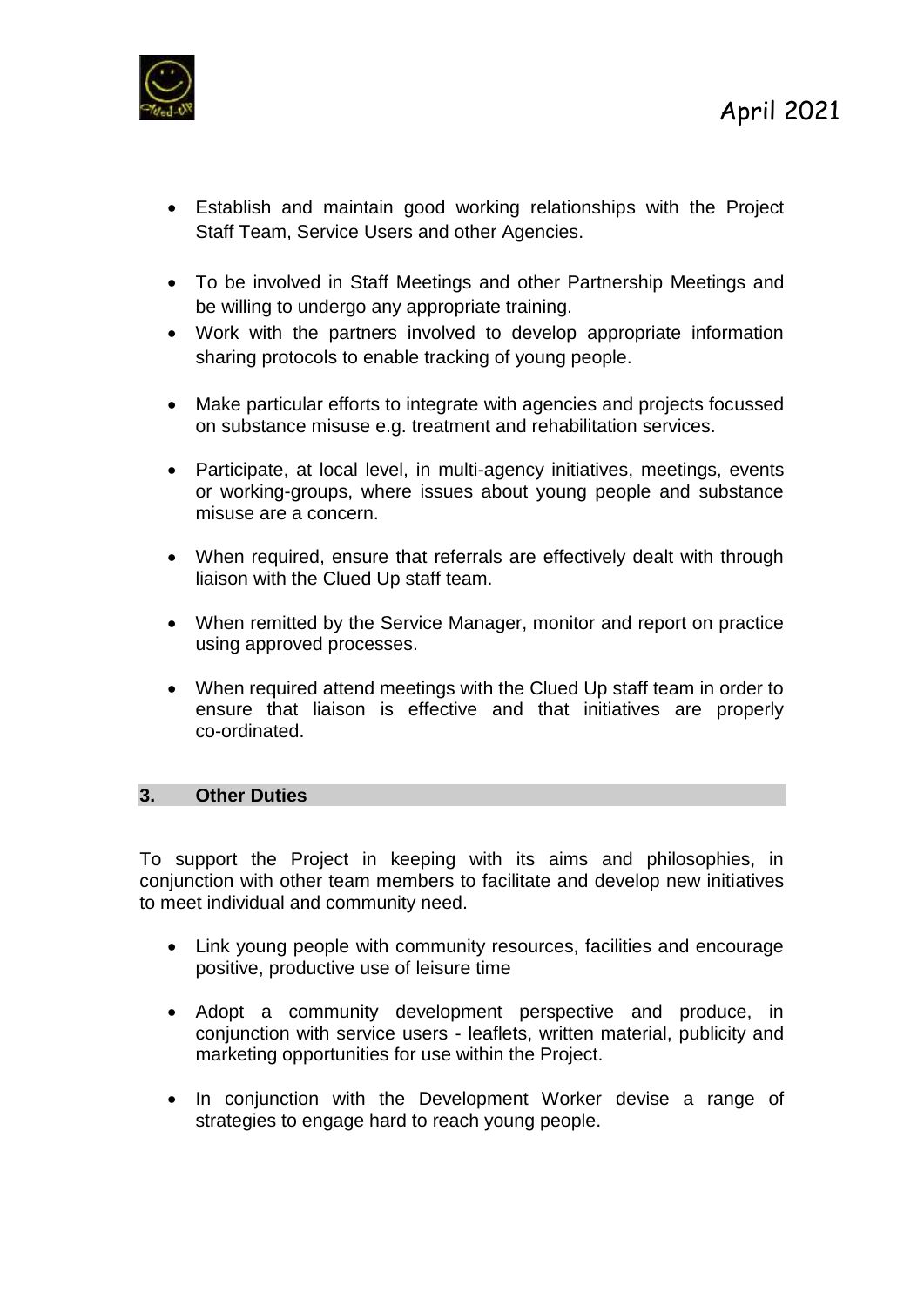

- Establish and maintain good working relationships with the Project Staff Team, Service Users and other Agencies.
- To be involved in Staff Meetings and other Partnership Meetings and be willing to undergo any appropriate training.
- Work with the partners involved to develop appropriate information sharing protocols to enable tracking of young people.
- Make particular efforts to integrate with agencies and projects focussed on substance misuse e.g. treatment and rehabilitation services.
- Participate, at local level, in multi-agency initiatives, meetings, events or working-groups, where issues about young people and substance misuse are a concern.
- When required, ensure that referrals are effectively dealt with through liaison with the Clued Up staff team.
- When remitted by the Service Manager, monitor and report on practice using approved processes.
- When required attend meetings with the Clued Up staff team in order to ensure that liaison is effective and that initiatives are properly co-ordinated.

#### **3. Other Duties**

To support the Project in keeping with its aims and philosophies, in conjunction with other team members to facilitate and develop new initiatives to meet individual and community need.

- Link young people with community resources, facilities and encourage positive, productive use of leisure time
- Adopt a community development perspective and produce, in conjunction with service users - leaflets, written material, publicity and marketing opportunities for use within the Project.
- In conjunction with the Development Worker devise a range of strategies to engage hard to reach young people.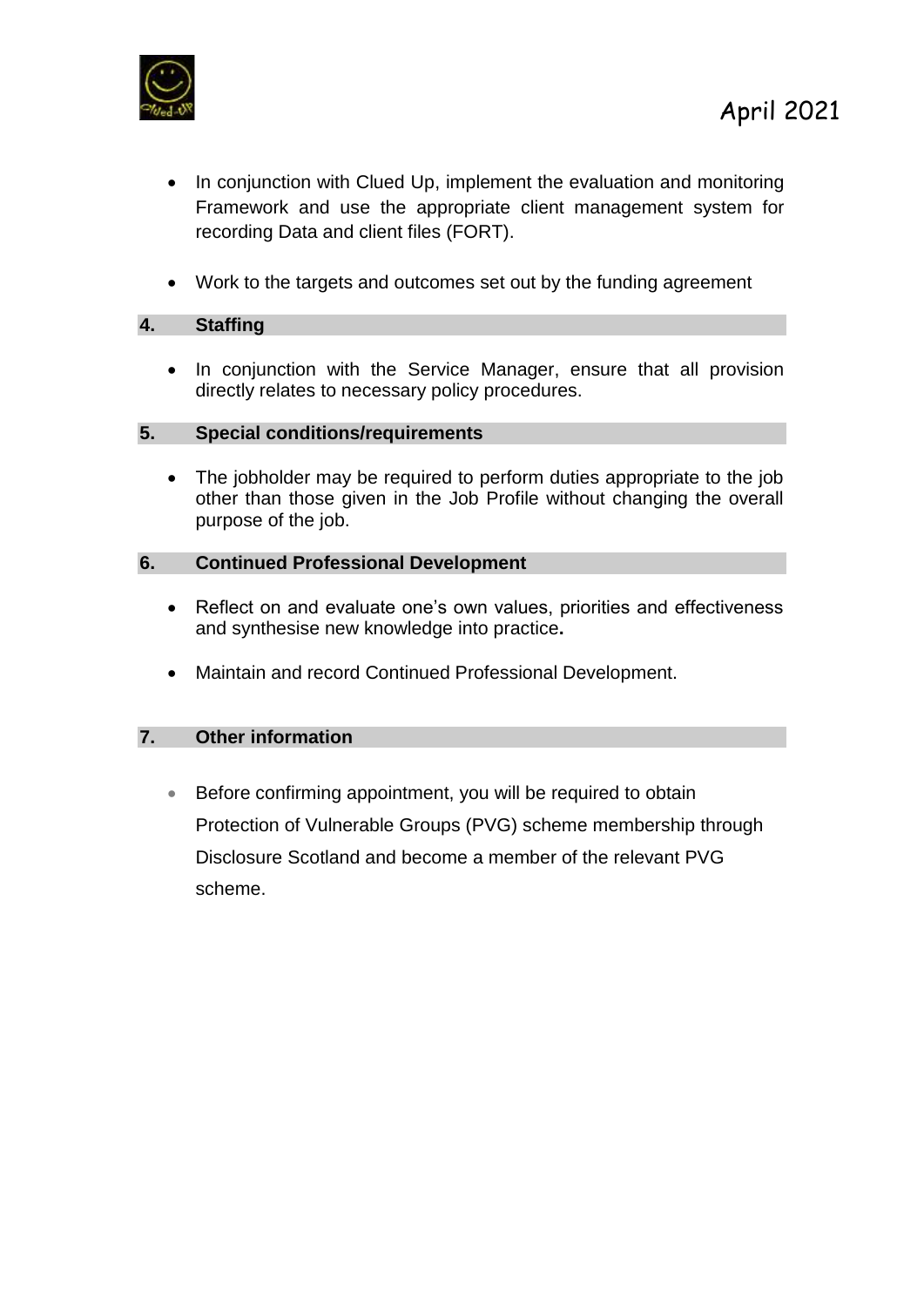

- In conjunction with Clued Up, implement the evaluation and monitoring Framework and use the appropriate client management system for recording Data and client files (FORT).
- Work to the targets and outcomes set out by the funding agreement

#### **4. Staffing**

• In conjunction with the Service Manager, ensure that all provision directly relates to necessary policy procedures.

#### **5. Special conditions/requirements**

• The jobholder may be required to perform duties appropriate to the job other than those given in the Job Profile without changing the overall purpose of the job.

#### **6. Continued Professional Development**

- Reflect on and evaluate one's own values, priorities and effectiveness and synthesise new knowledge into practice**.**
- Maintain and record Continued Professional Development.

#### **7. Other information**

• Before confirming appointment, you will be required to obtain Protection of Vulnerable Groups (PVG) scheme membership through Disclosure Scotland and become a member of the relevant PVG scheme.